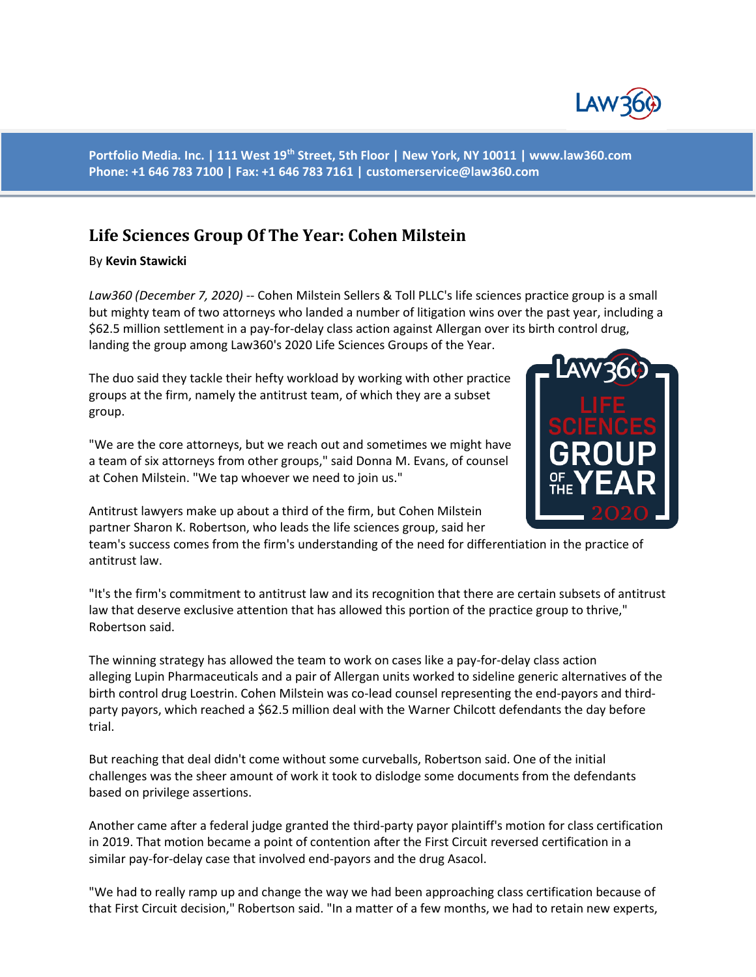

**Portfolio Media. Inc. | 111 West 19th Street, 5th Floor | New York, NY 10011 | www.law360.com Phone: +1 646 783 7100 | Fax: +1 646 783 7161 | customerservice@law360.com**

## **Life Sciences Group Of The Year: Cohen Milstein**

By **Kevin Stawicki**

*Law360 (December 7, 2020)* -- Cohen Milstein Sellers & Toll PLLC's life sciences practice group is a small but mighty team of two attorneys who landed a number of litigation wins over the past year, including a \$62.5 million settlement in a pay-for-delay class action against Allergan over its birth control drug, landing the group among Law360's 2020 Life Sciences Groups of the Year.

The duo said they tackle their hefty workload by working with other practice groups at the firm, namely the antitrust team, of which they are a subset group.

"We are the core attorneys, but we reach out and sometimes we might have a team of six attorneys from other groups," said Donna M. Evans, of counsel at Cohen Milstein. "We tap whoever we need to join us."

Antitrust lawyers make up about a third of the firm, but Cohen Milstein partner Sharon K. Robertson, who leads the life sciences group, said her

team's success comes from the firm's understanding of the need for differentiation in the practice of antitrust law.

"It's the firm's commitment to antitrust law and its recognition that there are certain subsets of antitrust law that deserve exclusive attention that has allowed this portion of the practice group to thrive," Robertson said.

The winning strategy has allowed the team to work on cases like a pay-for-delay class action alleging Lupin Pharmaceuticals and a pair of Allergan units worked to sideline generic alternatives of the birth control drug Loestrin. Cohen Milstein was co-lead counsel representing the end-payors and thirdparty payors, which reached a \$62.5 million deal with the Warner Chilcott defendants the day before trial.

But reaching that deal didn't come without some curveballs, Robertson said. One of the initial challenges was the sheer amount of work it took to dislodge some documents from the defendants based on privilege assertions.

Another came after a federal judge granted the third-party payor plaintiff's motion for class certification in 2019. That motion became a point of contention after the First Circuit reversed certification in a similar pay-for-delay case that involved end-payors and the drug Asacol.

"We had to really ramp up and change the way we had been approaching class certification because of that First Circuit decision," Robertson said. "In a matter of a few months, we had to retain new experts,